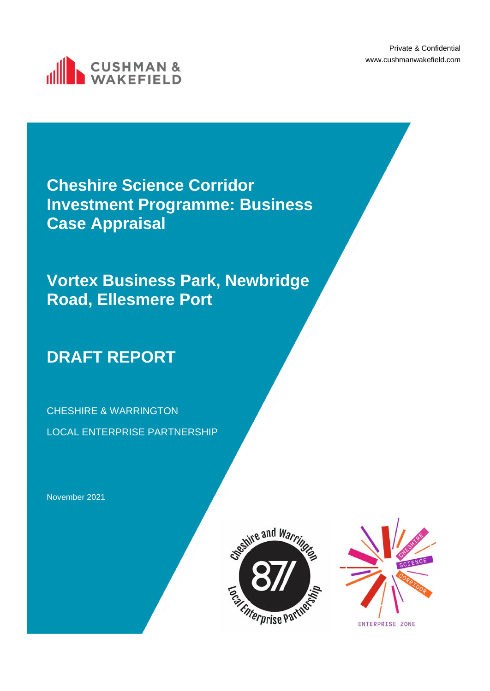Private & Confidential www.cushmanwakefield.com



**Cheshire Science Corridor Investment Programme: Business Case Appraisal**

**Vortex Business Park, Newbridge Road, Ellesmere Port**

# **DRAFT REPORT**

CHESHIRE & WARRINGTON LOCAL ENTERPRISE PARTNERSHIP

November 2021



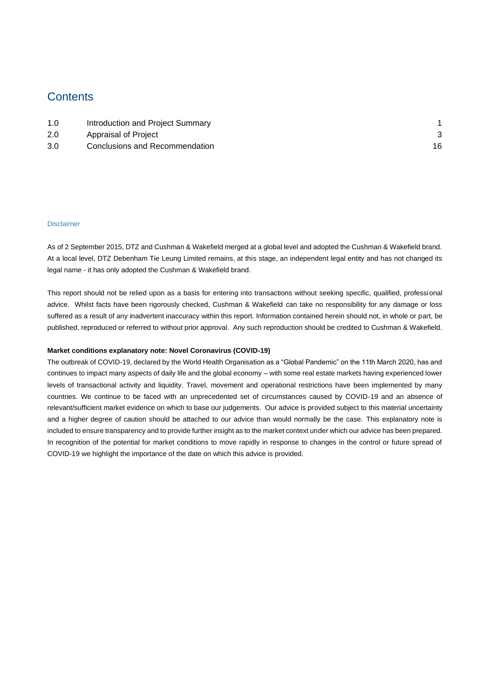# **Contents**

| 1.0 | Introduction and Project Summary |  |
|-----|----------------------------------|--|
| 2.0 | Appraisal of Project             |  |
| 3.0 | Conclusions and Recommendation   |  |

### Disclaimer

As of 2 September 2015, DTZ and Cushman & Wakefield merged at a global level and adopted the Cushman & Wakefield brand. At a local level, DTZ Debenham Tie Leung Limited remains, at this stage, an independent legal entity and has not changed its legal name - it has only adopted the Cushman & Wakefield brand.

This report should not be relied upon as a basis for entering into transactions without seeking specific, qualified, professional advice. Whilst facts have been rigorously checked, Cushman & Wakefield can take no responsibility for any damage or loss suffered as a result of any inadvertent inaccuracy within this report. Information contained herein should not, in whole or part, be published, reproduced or referred to without prior approval. Any such reproduction should be credited to Cushman & Wakefield.

### **Market conditions explanatory note: Novel Coronavirus (COVID-19)**

The outbreak of COVID-19, declared by the World Health Organisation as a "Global Pandemic" on the 11th March 2020, has and continues to impact many aspects of daily life and the global economy – with some real estate markets having experienced lower levels of transactional activity and liquidity. Travel, movement and operational restrictions have been implemented by many countries. We continue to be faced with an unprecedented set of circumstances caused by COVID-19 and an absence of relevant/sufficient market evidence on which to base our judgements. Our advice is provided subject to this material uncertainty and a higher degree of caution should be attached to our advice than would normally be the case. This explanatory note is included to ensure transparency and to provide further insight as to the market context under which our advice has been prepared. In recognition of the potential for market conditions to move rapidly in response to changes in the control or future spread of COVID-19 we highlight the importance of the date on which this advice is provided.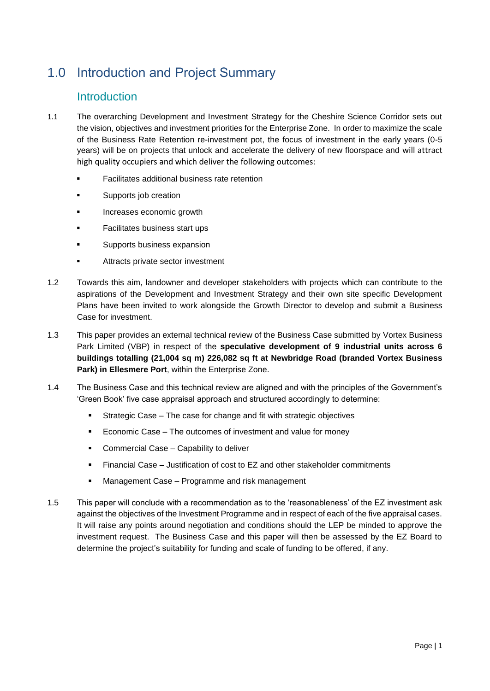# <span id="page-2-0"></span>1.0 Introduction and Project Summary

# Introduction

- 1.1 The overarching Development and Investment Strategy for the Cheshire Science Corridor sets out the vision, objectives and investment priorities for the Enterprise Zone. In order to maximize the scale of the Business Rate Retention re-investment pot, the focus of investment in the early years (0-5 years) will be on projects that unlock and accelerate the delivery of new floorspace and will attract high quality occupiers and which deliver the following outcomes:
	- **Facilitates additional business rate retention**
	- Supports job creation
	- Increases economic growth
	- Facilitates business start ups
	- Supports business expansion
	- Attracts private sector investment
- 1.2 Towards this aim, landowner and developer stakeholders with projects which can contribute to the aspirations of the Development and Investment Strategy and their own site specific Development Plans have been invited to work alongside the Growth Director to develop and submit a Business Case for investment.
- 1.3 This paper provides an external technical review of the Business Case submitted by Vortex Business Park Limited (VBP) in respect of the **speculative development of 9 industrial units across 6 buildings totalling (21,004 sq m) 226,082 sq ft at Newbridge Road (branded Vortex Business Park) in Ellesmere Port**, within the Enterprise Zone.
- 1.4 The Business Case and this technical review are aligned and with the principles of the Government's 'Green Book' five case appraisal approach and structured accordingly to determine:
	- Strategic Case The case for change and fit with strategic objectives
	- Economic Case The outcomes of investment and value for money
	- Commercial Case Capability to deliver
	- Financial Case Justification of cost to EZ and other stakeholder commitments
	- Management Case Programme and risk management
- 1.5 This paper will conclude with a recommendation as to the 'reasonableness' of the EZ investment ask against the objectives of the Investment Programme and in respect of each of the five appraisal cases. It will raise any points around negotiation and conditions should the LEP be minded to approve the investment request. The Business Case and this paper will then be assessed by the EZ Board to determine the project's suitability for funding and scale of funding to be offered, if any.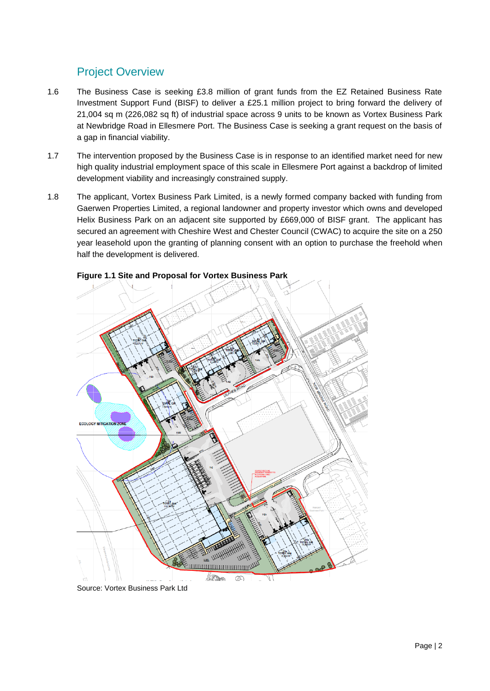# Project Overview

- 1.6 The Business Case is seeking £3.8 million of grant funds from the EZ Retained Business Rate Investment Support Fund (BISF) to deliver a £25.1 million project to bring forward the delivery of 21,004 sq m (226,082 sq ft) of industrial space across 9 units to be known as Vortex Business Park at Newbridge Road in Ellesmere Port. The Business Case is seeking a grant request on the basis of a gap in financial viability.
- 1.7 The intervention proposed by the Business Case is in response to an identified market need for new high quality industrial employment space of this scale in Ellesmere Port against a backdrop of limited development viability and increasingly constrained supply.
- 1.8 The applicant, Vortex Business Park Limited, is a newly formed company backed with funding from Gaerwen Properties Limited, a regional landowner and property investor which owns and developed Helix Business Park on an adjacent site supported by £669,000 of BISF grant. The applicant has secured an agreement with Cheshire West and Chester Council (CWAC) to acquire the site on a 250 year leasehold upon the granting of planning consent with an option to purchase the freehold when half the development is delivered.



**Figure 1.1 Site and Proposal for Vortex Business Park**

Source: Vortex Business Park Ltd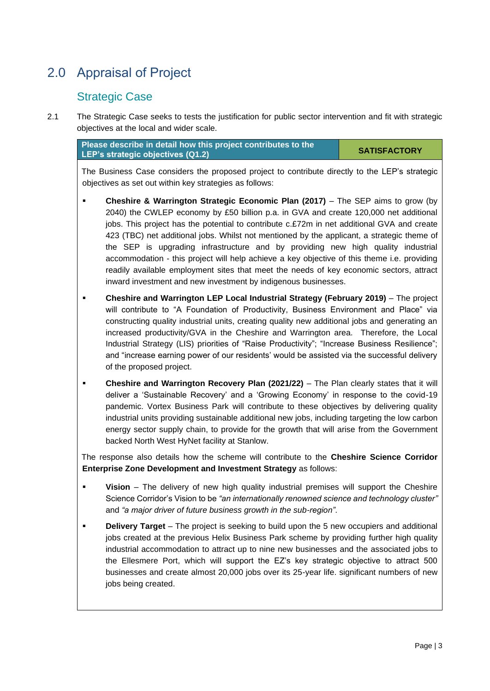# <span id="page-4-0"></span>2.0 Appraisal of Project

# Strategic Case

2.1 The Strategic Case seeks to tests the justification for public sector intervention and fit with strategic objectives at the local and wider scale.

**Please describe in detail how this project contributes to the LEP's strategic objectives (Q1.2)**

**SATISFACTORY**

The Business Case considers the proposed project to contribute directly to the LEP's strategic objectives as set out within key strategies as follows:

- **Cheshire & Warrington Strategic Economic Plan (2017)** The SEP aims to grow (by 2040) the CWLEP economy by £50 billion p.a. in GVA and create 120,000 net additional jobs. This project has the potential to contribute c.£72m in net additional GVA and create 423 (TBC) net additional jobs. Whilst not mentioned by the applicant, a strategic theme of the SEP is upgrading infrastructure and by providing new high quality industrial accommodation - this project will help achieve a key objective of this theme i.e. providing readily available employment sites that meet the needs of key economic sectors, attract inward investment and new investment by indigenous businesses.
- **Cheshire and Warrington LEP Local Industrial Strategy (February 2019)** The project will contribute to "A Foundation of Productivity, Business Environment and Place" via constructing quality industrial units, creating quality new additional jobs and generating an increased productivity/GVA in the Cheshire and Warrington area. Therefore, the Local Industrial Strategy (LIS) priorities of "Raise Productivity"; "Increase Business Resilience"; and "increase earning power of our residents' would be assisted via the successful delivery of the proposed project.
- **Cheshire and Warrington Recovery Plan (2021/22)** The Plan clearly states that it will deliver a 'Sustainable Recovery' and a 'Growing Economy' in response to the covid-19 pandemic. Vortex Business Park will contribute to these objectives by delivering quality industrial units providing sustainable additional new jobs, including targeting the low carbon energy sector supply chain, to provide for the growth that will arise from the Government backed North West HyNet facility at Stanlow.

The response also details how the scheme will contribute to the **Cheshire Science Corridor Enterprise Zone Development and Investment Strategy** as follows:

- **Vision** The delivery of new high quality industrial premises will support the Cheshire Science Corridor's Vision to be *"an internationally renowned science and technology cluster"*  and *"a major driver of future business growth in the sub-region"*.
- **Delivery Target** The project is seeking to build upon the 5 new occupiers and additional jobs created at the previous Helix Business Park scheme by providing further high quality industrial accommodation to attract up to nine new businesses and the associated jobs to the Ellesmere Port, which will support the EZ's key strategic objective to attract 500 businesses and create almost 20,000 jobs over its 25-year life. significant numbers of new jobs being created.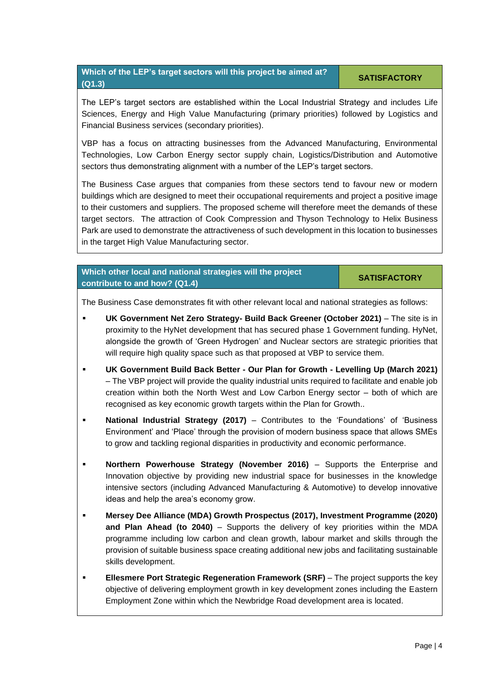# **Which of the LEP's target sectors will this project be aimed at? (Q1.3)**

The LEP's target sectors are established within the Local Industrial Strategy and includes Life Sciences, Energy and High Value Manufacturing (primary priorities) followed by Logistics and Financial Business services (secondary priorities).

VBP has a focus on attracting businesses from the Advanced Manufacturing, Environmental Technologies, Low Carbon Energy sector supply chain, Logistics/Distribution and Automotive sectors thus demonstrating alignment with a number of the LEP's target sectors.

The Business Case argues that companies from these sectors tend to favour new or modern buildings which are designed to meet their occupational requirements and project a positive image to their customers and suppliers. The proposed scheme will therefore meet the demands of these target sectors. The attraction of Cook Compression and Thyson Technology to Helix Business Park are used to demonstrate the attractiveness of such development in this location to businesses in the target High Value Manufacturing sector.

# **Which other local and national strategies will the project contribute to and how? (Q1.4)**

### **SATISFACTORY**

The Business Case demonstrates fit with other relevant local and national strategies as follows:

- **UK Government Net Zero Strategy- Build Back Greener (October 2021)** The site is in proximity to the HyNet development that has secured phase 1 Government funding. HyNet, alongside the growth of 'Green Hydrogen' and Nuclear sectors are strategic priorities that will require high quality space such as that proposed at VBP to service them.
- **UK Government Build Back Better - Our Plan for Growth - Levelling Up (March 2021)** – The VBP project will provide the quality industrial units required to facilitate and enable job creation within both the North West and Low Carbon Energy sector – both of which are recognised as key economic growth targets within the Plan for Growth..
- **National Industrial Strategy (2017)** Contributes to the 'Foundations' of 'Business Environment' and 'Place' through the provision of modern business space that allows SMEs to grow and tackling regional disparities in productivity and economic performance.
- **Northern Powerhouse Strategy (November 2016)**  Supports the Enterprise and Innovation objective by providing new industrial space for businesses in the knowledge intensive sectors (including Advanced Manufacturing & Automotive) to develop innovative ideas and help the area's economy grow.
- **Mersey Dee Alliance (MDA) Growth Prospectus (2017), Investment Programme (2020) and Plan Ahead (to 2040)** – Supports the delivery of key priorities within the MDA programme including low carbon and clean growth, labour market and skills through the provision of suitable business space creating additional new jobs and facilitating sustainable skills development.
- **Ellesmere Port Strategic Regeneration Framework (SRF)** The project supports the key objective of delivering employment growth in key development zones including the Eastern Employment Zone within which the Newbridge Road development area is located.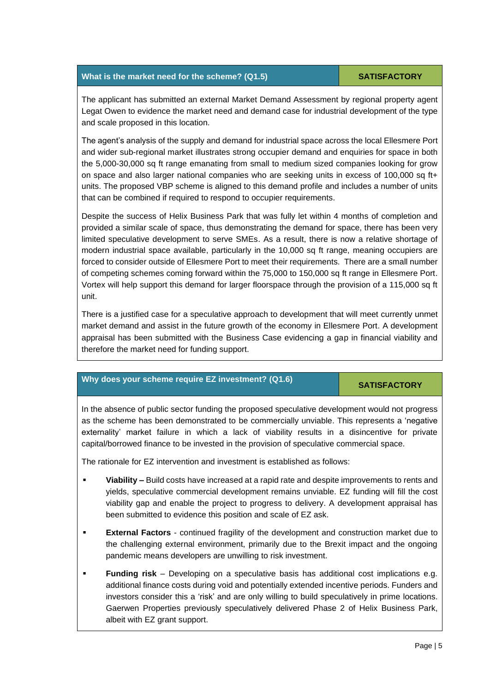## **What is the market need for the scheme?** (Q1.5) **SATISFACTORY**

The applicant has submitted an external Market Demand Assessment by regional property agent Legat Owen to evidence the market need and demand case for industrial development of the type and scale proposed in this location.

The agent's analysis of the supply and demand for industrial space across the local Ellesmere Port and wider sub-regional market illustrates strong occupier demand and enquiries for space in both the 5,000-30,000 sq ft range emanating from small to medium sized companies looking for grow on space and also larger national companies who are seeking units in excess of 100,000 sq ft+ units. The proposed VBP scheme is aligned to this demand profile and includes a number of units that can be combined if required to respond to occupier requirements.

Despite the success of Helix Business Park that was fully let within 4 months of completion and provided a similar scale of space, thus demonstrating the demand for space, there has been very limited speculative development to serve SMEs. As a result, there is now a relative shortage of modern industrial space available, particularly in the 10,000 sq ft range, meaning occupiers are forced to consider outside of Ellesmere Port to meet their requirements. There are a small number of competing schemes coming forward within the 75,000 to 150,000 sq ft range in Ellesmere Port. Vortex will help support this demand for larger floorspace through the provision of a 115,000 sq ft unit.

There is a justified case for a speculative approach to development that will meet currently unmet market demand and assist in the future growth of the economy in Ellesmere Port. A development appraisal has been submitted with the Business Case evidencing a gap in financial viability and therefore the market need for funding support.

# **Why does your scheme require EZ investment?** (Q1.6) SATISFACTORY

In the absence of public sector funding the proposed speculative development would not progress as the scheme has been demonstrated to be commercially unviable. This represents a 'negative externality' market failure in which a lack of viability results in a disincentive for private capital/borrowed finance to be invested in the provision of speculative commercial space.

The rationale for EZ intervention and investment is established as follows:

- Viability Build costs have increased at a rapid rate and despite improvements to rents and yields, speculative commercial development remains unviable. EZ funding will fill the cost viability gap and enable the project to progress to delivery. A development appraisal has been submitted to evidence this position and scale of EZ ask.
- **External Factors** continued fragility of the development and construction market due to the challenging external environment, primarily due to the Brexit impact and the ongoing pandemic means developers are unwilling to risk investment.
- **Funding risk** Developing on a speculative basis has additional cost implications e.g. additional finance costs during void and potentially extended incentive periods. Funders and investors consider this a 'risk' and are only willing to build speculatively in prime locations. Gaerwen Properties previously speculatively delivered Phase 2 of Helix Business Park, albeit with EZ grant support.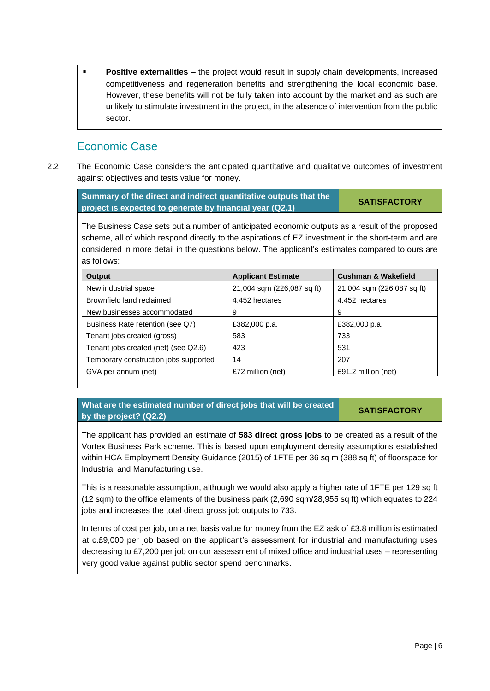**Positive externalities** – the project would result in supply chain developments, increased competitiveness and regeneration benefits and strengthening the local economic base. However, these benefits will not be fully taken into account by the market and as such are unlikely to stimulate investment in the project, in the absence of intervention from the public sector.

# Economic Case

2.2 The Economic Case considers the anticipated quantitative and qualitative outcomes of investment against objectives and tests value for money.

| Summary of the direct and indirect quantitative outputs that the | <b>SATISFACTORY</b> |
|------------------------------------------------------------------|---------------------|
| project is expected to generate by financial year (Q2.1)         |                     |

The Business Case sets out a number of anticipated economic outputs as a result of the proposed scheme, all of which respond directly to the aspirations of EZ investment in the short-term and are considered in more detail in the questions below. The applicant's estimates compared to ours are as follows:

| <b>Output</b>                         | <b>Applicant Estimate</b>  | <b>Cushman &amp; Wakefield</b> |
|---------------------------------------|----------------------------|--------------------------------|
| New industrial space                  | 21,004 sqm (226,087 sq ft) | 21,004 sqm (226,087 sq ft)     |
| Brownfield land reclaimed             | 4.452 hectares             | 4.452 hectares                 |
| New businesses accommodated           | 9                          | 9                              |
| Business Rate retention (see Q7)      | £382,000 p.a.              | £382,000 p.a.                  |
| Tenant jobs created (gross)           | 583                        | 733                            |
| Tenant jobs created (net) (see Q2.6)  | 423                        | 531                            |
| Temporary construction jobs supported | 14                         | 207                            |
| GVA per annum (net)                   | £72 million (net)          | £91.2 million (net)            |

**What are the estimated number of direct jobs that will be created by the project? (Q2.2)**

### **SATISFACTORY**

The applicant has provided an estimate of **583 direct gross jobs** to be created as a result of the Vortex Business Park scheme. This is based upon employment density assumptions established within HCA Employment Density Guidance (2015) of 1FTE per 36 sq m (388 sq ft) of floorspace for Industrial and Manufacturing use.

This is a reasonable assumption, although we would also apply a higher rate of 1FTE per 129 sq ft (12 sqm) to the office elements of the business park (2,690 sqm/28,955 sq ft) which equates to 224 jobs and increases the total direct gross job outputs to 733.

In terms of cost per job, on a net basis value for money from the EZ ask of £3.8 million is estimated at c.£9,000 per job based on the applicant's assessment for industrial and manufacturing uses decreasing to £7,200 per job on our assessment of mixed office and industrial uses – representing very good value against public sector spend benchmarks.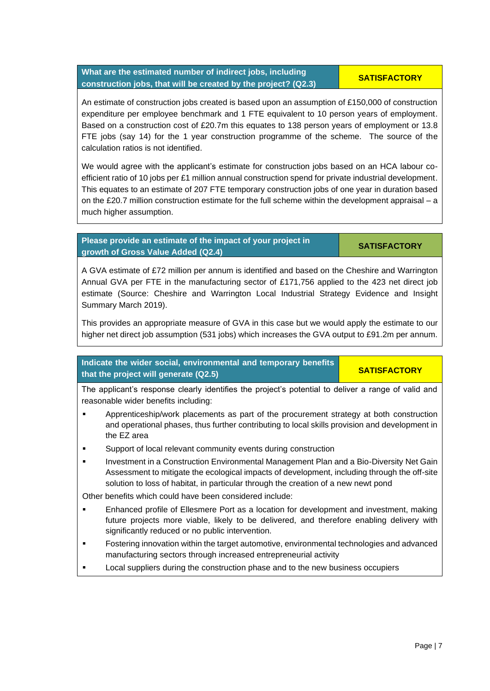# **What are the estimated number of indirect jobs, including construction jobs, that will be created by the project? (Q2.3)**

An estimate of construction jobs created is based upon an assumption of £150,000 of construction expenditure per employee benchmark and 1 FTE equivalent to 10 person years of employment. Based on a construction cost of £20.7m this equates to 138 person years of employment or 13.8 FTE jobs (say 14) for the 1 year construction programme of the scheme. The source of the calculation ratios is not identified.

We would agree with the applicant's estimate for construction jobs based on an HCA labour coefficient ratio of 10 jobs per £1 million annual construction spend for private industrial development. This equates to an estimate of 207 FTE temporary construction jobs of one year in duration based on the £20.7 million construction estimate for the full scheme within the development appraisal – a much higher assumption.

# **Please provide an estimate of the impact of your project in growth of Gross Value Added (Q2.4) SATISFACTORY**

A GVA estimate of £72 million per annum is identified and based on the Cheshire and Warrington Annual GVA per FTE in the manufacturing sector of £171,756 applied to the 423 net direct job estimate (Source: Cheshire and Warrington Local Industrial Strategy Evidence and Insight Summary March 2019).

This provides an appropriate measure of GVA in this case but we would apply the estimate to our higher net direct job assumption (531 jobs) which increases the GVA output to £91.2m per annum.

**Indicate the wider social, environmental and temporary benefits that the project will generate (Q2.5) SATISFACTORY** 

The applicant's response clearly identifies the project's potential to deliver a range of valid and reasonable wider benefits including:

- **•** Apprenticeship/work placements as part of the procurement strategy at both construction and operational phases, thus further contributing to local skills provision and development in the EZ area
- Support of local relevant community events during construction
- Investment in a Construction Environmental Management Plan and a Bio-Diversity Net Gain Assessment to mitigate the ecological impacts of development, including through the off-site solution to loss of habitat, in particular through the creation of a new newt pond

Other benefits which could have been considered include:

- Enhanced profile of Ellesmere Port as a location for development and investment, making future projects more viable, likely to be delivered, and therefore enabling delivery with significantly reduced or no public intervention.
- Fostering innovation within the target automotive, environmental technologies and advanced manufacturing sectors through increased entrepreneurial activity
- Local suppliers during the construction phase and to the new business occupiers

**SATISFACTORY**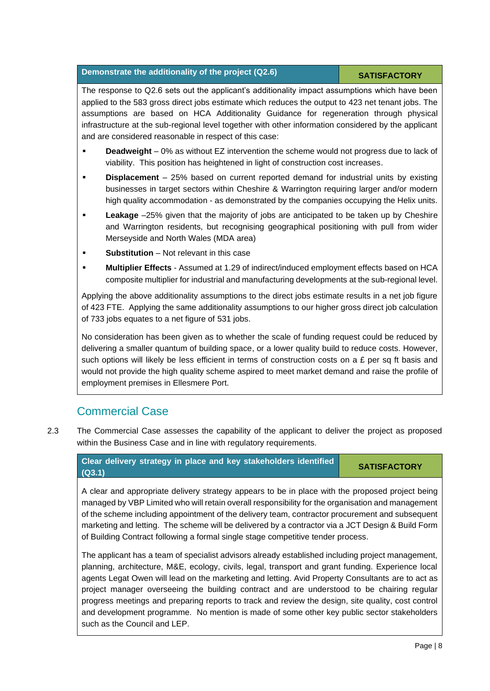# **Demonstrate the additionality of the project (Q2.6) SATISFACTORY**

The response to Q2.6 sets out the applicant's additionality impact assumptions which have been applied to the 583 gross direct jobs estimate which reduces the output to 423 net tenant jobs. The assumptions are based on HCA Additionality Guidance for regeneration through physical infrastructure at the sub-regional level together with other information considered by the applicant and are considered reasonable in respect of this case:

- **Deadweight** 0% as without EZ intervention the scheme would not progress due to lack of viability. This position has heightened in light of construction cost increases.
- **Displacement** 25% based on current reported demand for industrial units by existing businesses in target sectors within Cheshire & Warrington requiring larger and/or modern high quality accommodation - as demonstrated by the companies occupying the Helix units.
- **Leakage** –25% given that the majority of jobs are anticipated to be taken up by Cheshire and Warrington residents, but recognising geographical positioning with pull from wider Merseyside and North Wales (MDA area)
- **EXECUTE:** Substitution Not relevant in this case
- **Multiplier Effects** Assumed at 1.29 of indirect/induced employment effects based on HCA composite multiplier for industrial and manufacturing developments at the sub-regional level.

Applying the above additionality assumptions to the direct jobs estimate results in a net job figure of 423 FTE. Applying the same additionality assumptions to our higher gross direct job calculation of 733 jobs equates to a net figure of 531 jobs.

No consideration has been given as to whether the scale of funding request could be reduced by delivering a smaller quantum of building space, or a lower quality build to reduce costs. However, such options will likely be less efficient in terms of construction costs on a  $E$  per sq ft basis and would not provide the high quality scheme aspired to meet market demand and raise the profile of employment premises in Ellesmere Port.

# Commercial Case

2.3 The Commercial Case assesses the capability of the applicant to deliver the project as proposed within the Business Case and in line with regulatory requirements.

### **Clear delivery strategy in place and key stakeholders identified (Q3.1)**

**SATISFACTORY**

A clear and appropriate delivery strategy appears to be in place with the proposed project being managed by VBP Limited who will retain overall responsibility for the organisation and management of the scheme including appointment of the delivery team, contractor procurement and subsequent marketing and letting. The scheme will be delivered by a contractor via a JCT Design & Build Form of Building Contract following a formal single stage competitive tender process.

The applicant has a team of specialist advisors already established including project management, planning, architecture, M&E, ecology, civils, legal, transport and grant funding. Experience local agents Legat Owen will lead on the marketing and letting. Avid Property Consultants are to act as project manager overseeing the building contract and are understood to be chairing regular progress meetings and preparing reports to track and review the design, site quality, cost control and development programme. No mention is made of some other key public sector stakeholders such as the Council and LEP.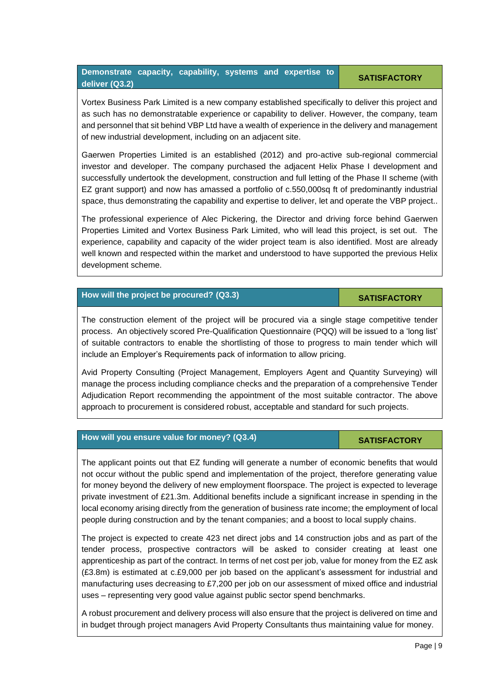# **Demonstrate capacity, capability, systems and expertise to deliver (Q3.2)**

### **SATISFACTORY**

Vortex Business Park Limited is a new company established specifically to deliver this project and as such has no demonstratable experience or capability to deliver. However, the company, team and personnel that sit behind VBP Ltd have a wealth of experience in the delivery and management of new industrial development, including on an adjacent site.

Gaerwen Properties Limited is an established (2012) and pro-active sub-regional commercial investor and developer. The company purchased the adjacent Helix Phase I development and successfully undertook the development, construction and full letting of the Phase II scheme (with EZ grant support) and now has amassed a portfolio of c.550,000sq ft of predominantly industrial space, thus demonstrating the capability and expertise to deliver, let and operate the VBP project..

The professional experience of Alec Pickering, the Director and driving force behind Gaerwen Properties Limited and Vortex Business Park Limited, who will lead this project, is set out. The experience, capability and capacity of the wider project team is also identified. Most are already well known and respected within the market and understood to have supported the previous Helix development scheme.

# **How will the project be procured?** (Q3.3) **SATISFACTORY**

The construction element of the project will be procured via a single stage competitive tender process. An objectively scored Pre-Qualification Questionnaire (PQQ) will be issued to a 'long list' of suitable contractors to enable the shortlisting of those to progress to main tender which will include an Employer's Requirements pack of information to allow pricing.

Avid Property Consulting (Project Management, Employers Agent and Quantity Surveying) will manage the process including compliance checks and the preparation of a comprehensive Tender Adjudication Report recommending the appointment of the most suitable contractor. The above approach to procurement is considered robust, acceptable and standard for such projects.

# **How will you ensure value for money? (Q3.4) SATISFACTORY**

# The applicant points out that EZ funding will generate a number of economic benefits that would not occur without the public spend and implementation of the project, therefore generating value for money beyond the delivery of new employment floorspace. The project is expected to leverage private investment of £21.3m. Additional benefits include a significant increase in spending in the local economy arising directly from the generation of business rate income; the employment of local people during construction and by the tenant companies; and a boost to local supply chains.

The project is expected to create 423 net direct jobs and 14 construction jobs and as part of the tender process, prospective contractors will be asked to consider creating at least one apprenticeship as part of the contract. In terms of net cost per job, value for money from the EZ ask (£3.8m) is estimated at c.£9,000 per job based on the applicant's assessment for industrial and manufacturing uses decreasing to £7,200 per job on our assessment of mixed office and industrial uses – representing very good value against public sector spend benchmarks.

A robust procurement and delivery process will also ensure that the project is delivered on time and in budget through project managers Avid Property Consultants thus maintaining value for money.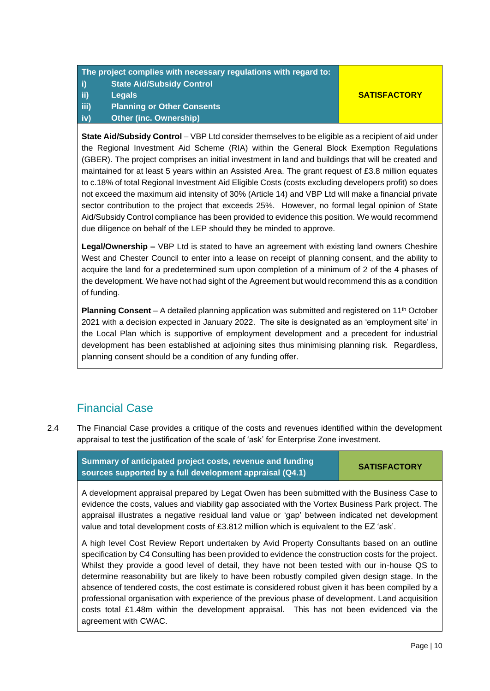# **The project complies with necessary regulations with regard to: i) State Aid/Subsidy Control ii) Legals iii) Planning or Other Consents iv) Other (inc. Ownership)**

# **SATISFACTORY**

**State Aid/Subsidy Control** – VBP Ltd consider themselves to be eligible as a recipient of aid under the Regional Investment Aid Scheme (RIA) within the General Block Exemption Regulations (GBER). The project comprises an initial investment in land and buildings that will be created and maintained for at least 5 years within an Assisted Area. The grant request of £3.8 million equates to c.18% of total Regional Investment Aid Eligible Costs (costs excluding developers profit) so does not exceed the maximum aid intensity of 30% (Article 14) and VBP Ltd will make a financial private sector contribution to the project that exceeds 25%. However, no formal legal opinion of State Aid/Subsidy Control compliance has been provided to evidence this position. We would recommend due diligence on behalf of the LEP should they be minded to approve.

**Legal/Ownership –** VBP Ltd is stated to have an agreement with existing land owners Cheshire West and Chester Council to enter into a lease on receipt of planning consent, and the ability to acquire the land for a predetermined sum upon completion of a minimum of 2 of the 4 phases of the development. We have not had sight of the Agreement but would recommend this as a condition of funding.

**Planning Consent** – A detailed planning application was submitted and registered on 11<sup>th</sup> October 2021 with a decision expected in January 2022. The site is designated as an 'employment site' in the Local Plan which is supportive of employment development and a precedent for industrial development has been established at adjoining sites thus minimising planning risk. Regardless, planning consent should be a condition of any funding offer.

# Financial Case

2.4 The Financial Case provides a critique of the costs and revenues identified within the development appraisal to test the justification of the scale of 'ask' for Enterprise Zone investment.

| Summary of anticipated project costs, revenue and funding | <b>SATISFACTORY</b> |
|-----------------------------------------------------------|---------------------|
| sources supported by a full development appraisal (Q4.1)  |                     |

A development appraisal prepared by Legat Owen has been submitted with the Business Case to evidence the costs, values and viability gap associated with the Vortex Business Park project. The appraisal illustrates a negative residual land value or 'gap' between indicated net development value and total development costs of £3.812 million which is equivalent to the EZ 'ask'.

A high level Cost Review Report undertaken by Avid Property Consultants based on an outline specification by C4 Consulting has been provided to evidence the construction costs for the project. Whilst they provide a good level of detail, they have not been tested with our in-house QS to determine reasonability but are likely to have been robustly compiled given design stage. In the absence of tendered costs, the cost estimate is considered robust given it has been compiled by a professional organisation with experience of the previous phase of development. Land acquisition costs total £1.48m within the development appraisal. This has not been evidenced via the agreement with CWAC.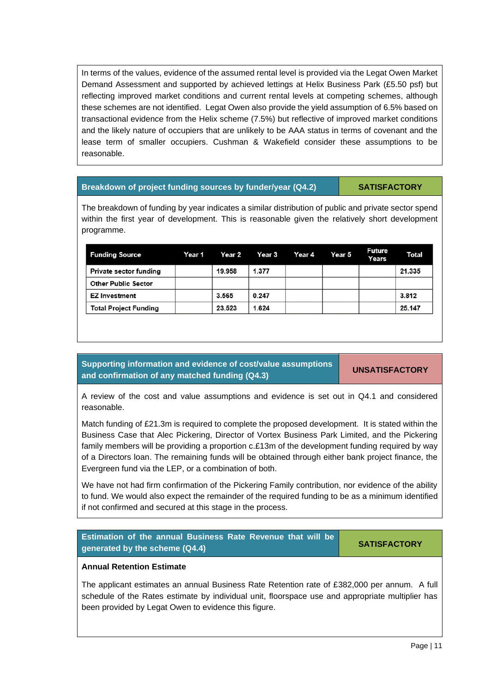In terms of the values, evidence of the assumed rental level is provided via the Legat Owen Market Demand Assessment and supported by achieved lettings at Helix Business Park (£5.50 psf) but reflecting improved market conditions and current rental levels at competing schemes, although these schemes are not identified. Legat Owen also provide the yield assumption of 6.5% based on transactional evidence from the Helix scheme (7.5%) but reflective of improved market conditions and the likely nature of occupiers that are unlikely to be AAA status in terms of covenant and the lease term of smaller occupiers. Cushman & Wakefield consider these assumptions to be reasonable.

### **Breakdown of project funding sources by funder/year (Q4.2) SATISFACTORY**

The breakdown of funding by year indicates a similar distribution of public and private sector spend within the first year of development. This is reasonable given the relatively short development programme.

| <b>Funding Source</b>         | Year 1 | Year 2 | <b>Year 3</b> | Year 4 | Year 5 | Future<br>Years | Total  |
|-------------------------------|--------|--------|---------------|--------|--------|-----------------|--------|
| <b>Private sector funding</b> |        | 19.958 | 1.377         |        |        |                 | 21.335 |
| <b>Other Public Sector</b>    |        |        |               |        |        |                 |        |
| EZ Investment                 |        | 3.565  | 0.247         |        |        |                 | 3.812  |
| <b>Total Project Funding</b>  |        | 23.523 | 1.624         |        |        |                 | 25.147 |

**Supporting information and evidence of cost/value assumptions and confirmation of any matched funding (Q4.3) UNSATISFACTORY**

A review of the cost and value assumptions and evidence is set out in Q4.1 and considered reasonable.

Match funding of £21.3m is required to complete the proposed development. It is stated within the Business Case that Alec Pickering, Director of Vortex Business Park Limited, and the Pickering family members will be providing a proportion c.£13m of the development funding required by way of a Directors loan. The remaining funds will be obtained through either bank project finance, the Evergreen fund via the LEP, or a combination of both.

We have not had firm confirmation of the Pickering Family contribution, nor evidence of the ability to fund. We would also expect the remainder of the required funding to be as a minimum identified if not confirmed and secured at this stage in the process.



The applicant estimates an annual Business Rate Retention rate of £382,000 per annum. A full schedule of the Rates estimate by individual unit, floorspace use and appropriate multiplier has been provided by Legat Owen to evidence this figure.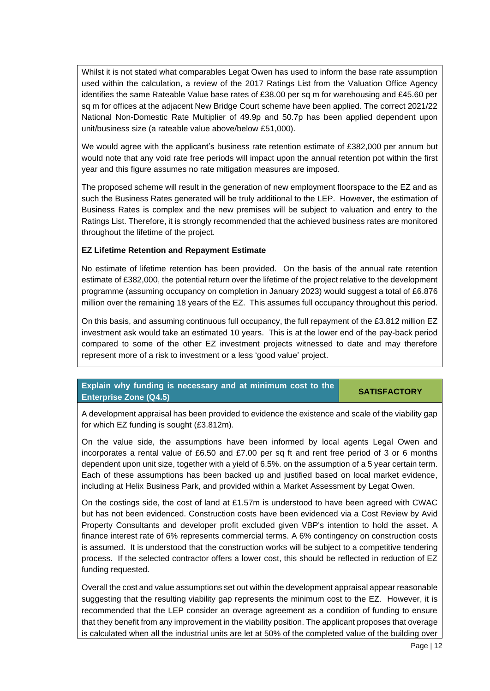Whilst it is not stated what comparables Legat Owen has used to inform the base rate assumption used within the calculation, a review of the 2017 Ratings List from the Valuation Office Agency identifies the same Rateable Value base rates of £38.00 per sq m for warehousing and £45.60 per sq m for offices at the adjacent New Bridge Court scheme have been applied. The correct 2021/22 National Non-Domestic Rate Multiplier of 49.9p and 50.7p has been applied dependent upon unit/business size (a rateable value above/below £51,000).

We would agree with the applicant's business rate retention estimate of £382,000 per annum but would note that any void rate free periods will impact upon the annual retention pot within the first year and this figure assumes no rate mitigation measures are imposed.

The proposed scheme will result in the generation of new employment floorspace to the EZ and as such the Business Rates generated will be truly additional to the LEP. However, the estimation of Business Rates is complex and the new premises will be subject to valuation and entry to the Ratings List. Therefore, it is strongly recommended that the achieved business rates are monitored throughout the lifetime of the project.

# **EZ Lifetime Retention and Repayment Estimate**

No estimate of lifetime retention has been provided. On the basis of the annual rate retention estimate of £382,000, the potential return over the lifetime of the project relative to the development programme (assuming occupancy on completion in January 2023) would suggest a total of £6.876 million over the remaining 18 years of the EZ. This assumes full occupancy throughout this period.

On this basis, and assuming continuous full occupancy, the full repayment of the £3.812 million EZ investment ask would take an estimated 10 years. This is at the lower end of the pay-back period compared to some of the other EZ investment projects witnessed to date and may therefore represent more of a risk to investment or a less 'good value' project.

# **Explain why funding is necessary and at minimum cost to the Enterprise Zone (Q4.5)**

### **SATISFACTORY**

A development appraisal has been provided to evidence the existence and scale of the viability gap for which EZ funding is sought (£3.812m).

On the value side, the assumptions have been informed by local agents Legal Owen and incorporates a rental value of £6.50 and £7.00 per sq ft and rent free period of 3 or 6 months dependent upon unit size, together with a yield of 6.5%. on the assumption of a 5 year certain term. Each of these assumptions has been backed up and justified based on local market evidence, including at Helix Business Park, and provided within a Market Assessment by Legat Owen.

On the costings side, the cost of land at £1.57m is understood to have been agreed with CWAC but has not been evidenced. Construction costs have been evidenced via a Cost Review by Avid Property Consultants and developer profit excluded given VBP's intention to hold the asset. A finance interest rate of 6% represents commercial terms. A 6% contingency on construction costs is assumed. It is understood that the construction works will be subject to a competitive tendering process. If the selected contractor offers a lower cost, this should be reflected in reduction of EZ funding requested.

Overall the cost and value assumptions set out within the development appraisal appear reasonable suggesting that the resulting viability gap represents the minimum cost to the EZ. However, it is recommended that the LEP consider an overage agreement as a condition of funding to ensure that they benefit from any improvement in the viability position. The applicant proposes that overage is calculated when all the industrial units are let at 50% of the completed value of the building over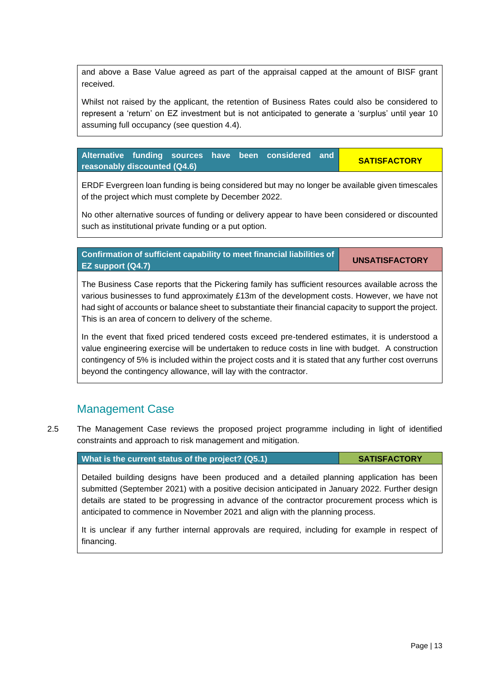and above a Base Value agreed as part of the appraisal capped at the amount of BISF grant received.

Whilst not raised by the applicant, the retention of Business Rates could also be considered to represent a 'return' on EZ investment but is not anticipated to generate a 'surplus' until year 10 assuming full occupancy (see question 4.4).

**Alternative funding sources have been considered and reasonably discounted (Q4.6)**

**Confirmation of sufficient capability to meet financial liabilities of** 

ERDF Evergreen loan funding is being considered but may no longer be available given timescales of the project which must complete by December 2022.

No other alternative sources of funding or delivery appear to have been considered or discounted such as institutional private funding or a put option.

**EZ support (Q4.7)** The Business Case reports that the Pickering family has sufficient resources available across the various businesses to fund approximately £13m of the development costs. However, we have not had sight of accounts or balance sheet to substantiate their financial capacity to support the project.

In the event that fixed priced tendered costs exceed pre-tendered estimates, it is understood a value engineering exercise will be undertaken to reduce costs in line with budget. A construction contingency of 5% is included within the project costs and it is stated that any further cost overruns beyond the contingency allowance, will lay with the contractor.

# Management Case

2.5 The Management Case reviews the proposed project programme including in light of identified constraints and approach to risk management and mitigation.

**What is the current status of the project? (Q5.1) <b>SATISFACTORY** 

This is an area of concern to delivery of the scheme.

Detailed building designs have been produced and a detailed planning application has been submitted (September 2021) with a positive decision anticipated in January 2022. Further design details are stated to be progressing in advance of the contractor procurement process which is anticipated to commence in November 2021 and align with the planning process.

It is unclear if any further internal approvals are required, including for example in respect of financing.

**SATISFACTORY**

**UNSATISFACTORY**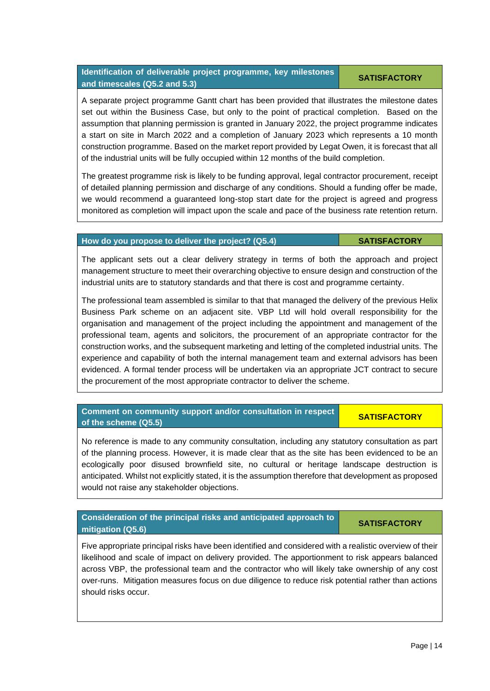## **Identification of deliverable project programme, key milestones and timescales (Q5.2 and 5.3)**

A separate project programme Gantt chart has been provided that illustrates the milestone dates set out within the Business Case, but only to the point of practical completion. Based on the assumption that planning permission is granted in January 2022, the project programme indicates a start on site in March 2022 and a completion of January 2023 which represents a 10 month construction programme. Based on the market report provided by Legat Owen, it is forecast that all of the industrial units will be fully occupied within 12 months of the build completion.

The greatest programme risk is likely to be funding approval, legal contractor procurement, receipt of detailed planning permission and discharge of any conditions. Should a funding offer be made, we would recommend a guaranteed long-stop start date for the project is agreed and progress monitored as completion will impact upon the scale and pace of the business rate retention return.

# **How do you propose to deliver the project? (Q5.4) SATISFACTORY**

The applicant sets out a clear delivery strategy in terms of both the approach and project management structure to meet their overarching objective to ensure design and construction of the industrial units are to statutory standards and that there is cost and programme certainty.

The professional team assembled is similar to that that managed the delivery of the previous Helix Business Park scheme on an adjacent site. VBP Ltd will hold overall responsibility for the organisation and management of the project including the appointment and management of the professional team, agents and solicitors, the procurement of an appropriate contractor for the construction works, and the subsequent marketing and letting of the completed industrial units. The experience and capability of both the internal management team and external advisors has been evidenced. A formal tender process will be undertaken via an appropriate JCT contract to secure the procurement of the most appropriate contractor to deliver the scheme.

# No reference is made to any community consultation, including any statutory consultation as part of the planning process. However, it is made clear that as the site has been evidenced to be an ecologically poor disused brownfield site, no cultural or heritage landscape destruction is anticipated. Whilst not explicitly stated, it is the assumption therefore that development as proposed would not raise any stakeholder objections.

**of the scheme (Q5.5) SATISFACTORY SATISFACTORY** 

# **Consideration of the principal risks and anticipated approach to mitigation (Q5.6)**

**Comment on community support and/or consultation in respect** 

Five appropriate principal risks have been identified and considered with a realistic overview of their likelihood and scale of impact on delivery provided. The apportionment to risk appears balanced across VBP, the professional team and the contractor who will likely take ownership of any cost over-runs. Mitigation measures focus on due diligence to reduce risk potential rather than actions should risks occur.

**SATISFACTORY**

**SATISFACTORY**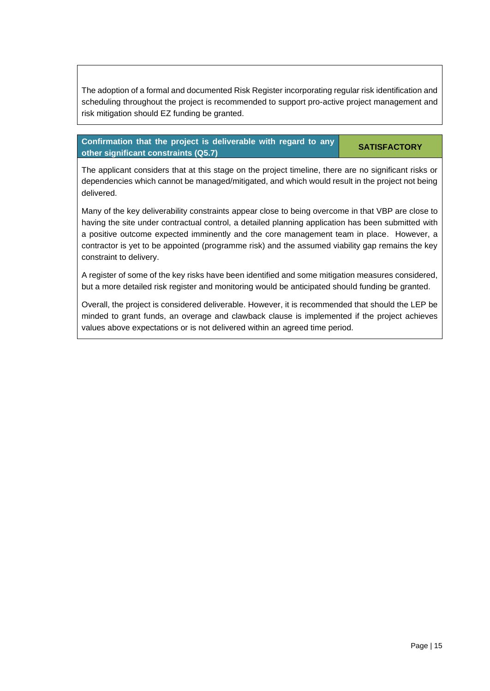The adoption of a formal and documented Risk Register incorporating regular risk identification and scheduling throughout the project is recommended to support pro-active project management and risk mitigation should EZ funding be granted.

# **Confirmation that the project is deliverable with regard to any other significant constraints (Q5.7)**

### **SATISFACTORY**

The applicant considers that at this stage on the project timeline, there are no significant risks or dependencies which cannot be managed/mitigated, and which would result in the project not being delivered.

Many of the key deliverability constraints appear close to being overcome in that VBP are close to having the site under contractual control, a detailed planning application has been submitted with a positive outcome expected imminently and the core management team in place. However, a contractor is yet to be appointed (programme risk) and the assumed viability gap remains the key constraint to delivery.

A register of some of the key risks have been identified and some mitigation measures considered, but a more detailed risk register and monitoring would be anticipated should funding be granted.

Overall, the project is considered deliverable. However, it is recommended that should the LEP be minded to grant funds, an overage and clawback clause is implemented if the project achieves values above expectations or is not delivered within an agreed time period.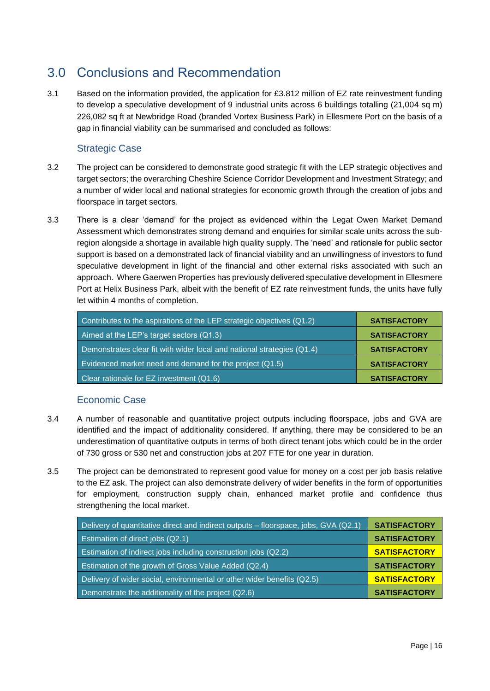# <span id="page-17-0"></span>3.0 Conclusions and Recommendation

3.1 Based on the information provided, the application for £3.812 million of EZ rate reinvestment funding to develop a speculative development of 9 industrial units across 6 buildings totalling (21,004 sq m) 226,082 sq ft at Newbridge Road (branded Vortex Business Park) in Ellesmere Port on the basis of a gap in financial viability can be summarised and concluded as follows:

# Strategic Case

- 3.2 The project can be considered to demonstrate good strategic fit with the LEP strategic objectives and target sectors; the overarching Cheshire Science Corridor Development and Investment Strategy; and a number of wider local and national strategies for economic growth through the creation of jobs and floorspace in target sectors.
- 3.3 There is a clear 'demand' for the project as evidenced within the Legat Owen Market Demand Assessment which demonstrates strong demand and enquiries for similar scale units across the subregion alongside a shortage in available high quality supply. The 'need' and rationale for public sector support is based on a demonstrated lack of financial viability and an unwillingness of investors to fund speculative development in light of the financial and other external risks associated with such an approach. Where Gaerwen Properties has previously delivered speculative development in Ellesmere Port at Helix Business Park, albeit with the benefit of EZ rate reinvestment funds, the units have fully let within 4 months of completion.

| Contributes to the aspirations of the LEP strategic objectives (Q1.2)  | <b>SATISFACTORY</b> |
|------------------------------------------------------------------------|---------------------|
| Aimed at the LEP's target sectors (Q1.3)                               | <b>SATISFACTORY</b> |
| Demonstrates clear fit with wider local and national strategies (Q1.4) | <b>SATISFACTORY</b> |
| Evidenced market need and demand for the project (Q1.5)                | <b>SATISFACTORY</b> |
| Clear rationale for EZ investment (Q1.6)                               | <b>SATISFACTORY</b> |

# Economic Case

- 3.4 A number of reasonable and quantitative project outputs including floorspace, jobs and GVA are identified and the impact of additionality considered. If anything, there may be considered to be an underestimation of quantitative outputs in terms of both direct tenant jobs which could be in the order of 730 gross or 530 net and construction jobs at 207 FTE for one year in duration.
- 3.5 The project can be demonstrated to represent good value for money on a cost per job basis relative to the EZ ask. The project can also demonstrate delivery of wider benefits in the form of opportunities for employment, construction supply chain, enhanced market profile and confidence thus strengthening the local market.

| Delivery of quantitative direct and indirect outputs – floorspace, jobs, GVA (Q2.1) | <b>SATISFACTORY</b> |
|-------------------------------------------------------------------------------------|---------------------|
| Estimation of direct jobs (Q2.1)                                                    | <b>SATISFACTORY</b> |
| Estimation of indirect jobs including construction jobs (Q2.2)                      | <b>SATISFACTORY</b> |
| Estimation of the growth of Gross Value Added (Q2.4)                                | <b>SATISFACTORY</b> |
| Delivery of wider social, environmental or other wider benefits (Q2.5)              | <b>SATISFACTORY</b> |
| Demonstrate the additionality of the project (Q2.6)                                 | <b>SATISFACTORY</b> |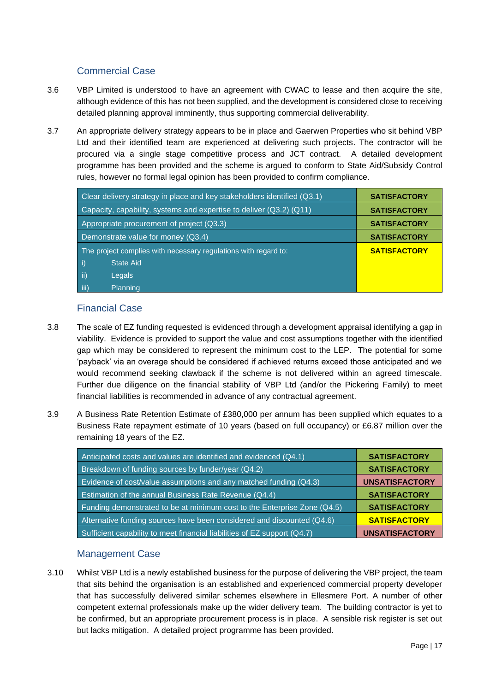# Commercial Case

- 3.6 VBP Limited is understood to have an agreement with CWAC to lease and then acquire the site, although evidence of this has not been supplied, and the development is considered close to receiving detailed planning approval imminently, thus supporting commercial deliverability.
- 3.7 An appropriate delivery strategy appears to be in place and Gaerwen Properties who sit behind VBP Ltd and their identified team are experienced at delivering such projects. The contractor will be procured via a single stage competitive process and JCT contract. A detailed development programme has been provided and the scheme is argued to conform to State Aid/Subsidy Control rules, however no formal legal opinion has been provided to confirm compliance.

| Clear delivery strategy in place and key stakeholders identified (Q3.1) | <b>SATISFACTORY</b> |
|-------------------------------------------------------------------------|---------------------|
| Capacity, capability, systems and expertise to deliver (Q3.2) (Q11)     | <b>SATISFACTORY</b> |
| Appropriate procurement of project (Q3.3)                               | <b>SATISFACTORY</b> |
| Demonstrate value for money (Q3.4)                                      | <b>SATISFACTORY</b> |
| The project complies with necessary regulations with regard to:         | <b>SATISFACTORY</b> |
| i)<br>State Aid                                                         |                     |
| $\mathsf{ii}$<br>Legals                                                 |                     |
| iii)<br>Planning                                                        |                     |

# Financial Case

- 3.8 The scale of EZ funding requested is evidenced through a development appraisal identifying a gap in viability. Evidence is provided to support the value and cost assumptions together with the identified gap which may be considered to represent the minimum cost to the LEP. The potential for some 'payback' via an overage should be considered if achieved returns exceed those anticipated and we would recommend seeking clawback if the scheme is not delivered within an agreed timescale. Further due diligence on the financial stability of VBP Ltd (and/or the Pickering Family) to meet financial liabilities is recommended in advance of any contractual agreement.
- 3.9 A Business Rate Retention Estimate of £380,000 per annum has been supplied which equates to a Business Rate repayment estimate of 10 years (based on full occupancy) or £6.87 million over the remaining 18 years of the EZ.

| Anticipated costs and values are identified and evidenced (Q4.1)         | <b>SATISFACTORY</b>   |
|--------------------------------------------------------------------------|-----------------------|
| Breakdown of funding sources by funder/year (Q4.2)                       | <b>SATISFACTORY</b>   |
| Evidence of cost/value assumptions and any matched funding (Q4.3)        | <b>UNSATISFACTORY</b> |
| Estimation of the annual Business Rate Revenue (Q4.4)                    | <b>SATISFACTORY</b>   |
| Funding demonstrated to be at minimum cost to the Enterprise Zone (Q4.5) | <b>SATISFACTORY</b>   |
| Alternative funding sources have been considered and discounted (Q4.6)   | <b>SATISFACTORY</b>   |
| Sufficient capability to meet financial liabilities of EZ support (Q4.7) | <b>UNSATISFACTORY</b> |

# Management Case

3.10 Whilst VBP Ltd is a newly established business for the purpose of delivering the VBP project, the team that sits behind the organisation is an established and experienced commercial property developer that has successfully delivered similar schemes elsewhere in Ellesmere Port. A number of other competent external professionals make up the wider delivery team. The building contractor is yet to be confirmed, but an appropriate procurement process is in place. A sensible risk register is set out but lacks mitigation. A detailed project programme has been provided.